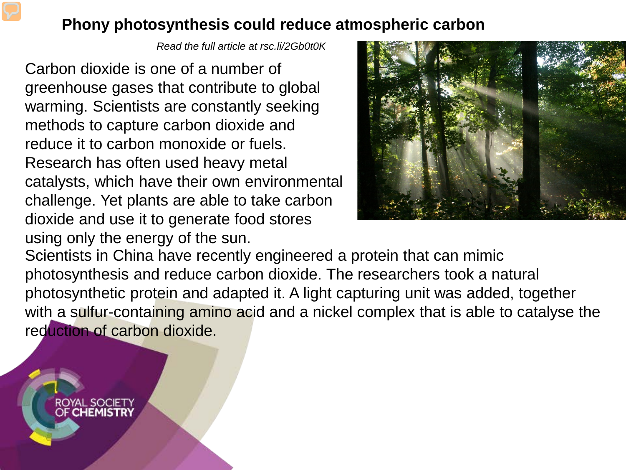## **Phony photosynthesis could reduce atmospheric carbon**

*Read the full article at rsc.li/2Gb0t0K*

Carbon dioxide is one of a number of greenhouse gases that contribute to global warming. Scientists are constantly seeking methods to capture carbon dioxide and reduce it to carbon monoxide or fuels. Research has often used heavy metal catalysts, which have their own environmental challenge. Yet plants are able to take carbon dioxide and use it to generate food stores using only the energy of the sun.

ROYAL SOCIETY<br>OF **CHEMISTRY** 



Scientists in China have recently engineered a protein that can mimic photosynthesis and reduce carbon dioxide. The researchers took a natural photosynthetic protein and adapted it. A light capturing unit was added, together with a sulfur-containing amino acid and a nickel complex that is able to catalyse the reduction of carbon dioxide.